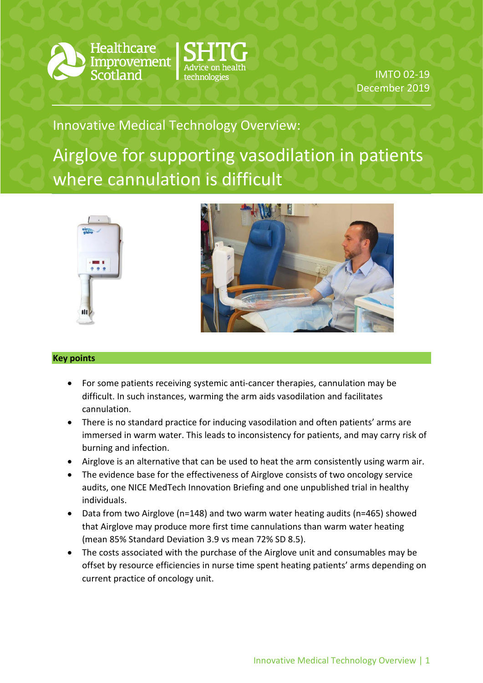

**Healthcare** Improvement



IMTO 02-19 December 2019

# Innovative Medical Technology Overview:

Airglove for supporting vasodilation in patients where cannulation is difficult





## **Key points**

- For some patients receiving systemic anti-cancer therapies, cannulation may be difficult. In such instances, warming the arm aids vasodilation and facilitates cannulation.
- There is no standard practice for inducing vasodilation and often patients' arms are immersed in warm water. This leads to inconsistency for patients, and may carry risk of burning and infection.
- Airglove is an alternative that can be used to heat the arm consistently using warm air.
- The evidence base for the effectiveness of Airglove consists of two oncology service audits, one NICE MedTech Innovation Briefing and one unpublished trial in healthy individuals.
- Data from two Airglove (n=148) and two warm water heating audits (n=465) showed that Airglove may produce more first time cannulations than warm water heating (mean 85% Standard Deviation 3.9 vs mean 72% SD 8.5).
- The costs associated with the purchase of the Airglove unit and consumables may be offset by resource efficiencies in nurse time spent heating patients' arms depending on current practice of oncology unit.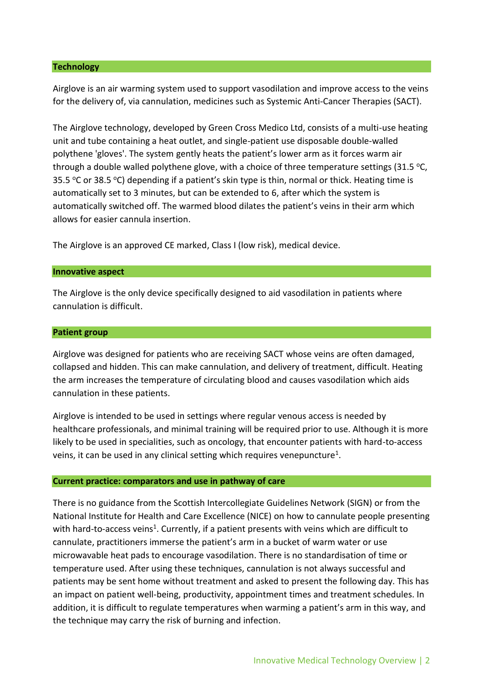#### **Technology**

Airglove is an air warming system used to support vasodilation and improve access to the veins for the delivery of, via cannulation, medicines such as Systemic Anti-Cancer Therapies (SACT).

The Airglove technology, developed by Green Cross Medico Ltd, consists of a multi-use heating unit and tube containing a heat outlet, and single-patient use disposable double-walled polythene 'gloves'. The system gently heats the patient's lower arm as it forces warm air through a double walled polythene glove, with a choice of three temperature settings (31.5 °C, 35.5 °C or 38.5 °C) depending if a patient's skin type is thin, normal or thick. Heating time is automatically set to 3 minutes, but can be extended to 6, after which the system is automatically switched off. The warmed blood dilates the patient's veins in their arm which allows for easier cannula insertion.

The Airglove is an approved CE marked, Class I (low risk), medical device.

#### **Innovative aspect**

The Airglove is the only device specifically designed to aid vasodilation in patients where cannulation is difficult.

#### **Patient group**

Airglove was designed for patients who are receiving SACT whose veins are often damaged, collapsed and hidden. This can make cannulation, and delivery of treatment, difficult. Heating the arm increases the temperature of circulating blood and causes vasodilation which aids cannulation in these patients.

Airglove is intended to be used in settings where regular venous access is needed by healthcare professionals, and minimal training will be required prior to use. Although it is more likely to be used in specialities, such as oncology, that encounter patients with hard-to-access veins, it can be used in any clinical setting which requires venepuncture<sup>1</sup>.

#### **Current practice: comparators and use in pathway of care**

There is no guidance from the Scottish Intercollegiate Guidelines Network (SIGN) or from the National Institute for Health and Care Excellence (NICE) on how to cannulate people presenting with hard-to-access veins<sup>1</sup>. Currently, if a patient presents with veins which are difficult to cannulate, practitioners immerse the patient's arm in a bucket of warm water or use microwavable heat pads to encourage vasodilation. There is no standardisation of time or temperature used. After using these techniques, cannulation is not always successful and patients may be sent home without treatment and asked to present the following day. This has an impact on patient well-being, productivity, appointment times and treatment schedules. In addition, it is difficult to regulate temperatures when warming a patient's arm in this way, and the technique may carry the risk of burning and infection.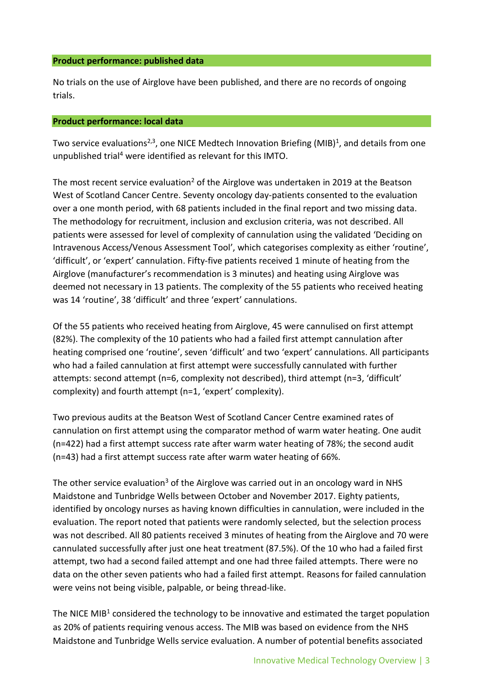#### **Product performance: published data**

No trials on the use of Airglove have been published, and there are no records of ongoing trials.

## **Product performance: local data**

Two service evaluations<sup>2,3</sup>, one NICE Medtech Innovation Briefing (MIB)<sup>1</sup>, and details from one unpublished trial<sup>4</sup> were identified as relevant for this IMTO.

The most recent service evaluation<sup>2</sup> of the Airglove was undertaken in 2019 at the Beatson West of Scotland Cancer Centre. Seventy oncology day-patients consented to the evaluation over a one month period, with 68 patients included in the final report and two missing data. The methodology for recruitment, inclusion and exclusion criteria, was not described. All patients were assessed for level of complexity of cannulation using the validated 'Deciding on Intravenous Access/Venous Assessment Tool', which categorises complexity as either 'routine', 'difficult', or 'expert' cannulation. Fifty-five patients received 1 minute of heating from the Airglove (manufacturer's recommendation is 3 minutes) and heating using Airglove was deemed not necessary in 13 patients. The complexity of the 55 patients who received heating was 14 'routine', 38 'difficult' and three 'expert' cannulations.

Of the 55 patients who received heating from Airglove, 45 were cannulised on first attempt (82%). The complexity of the 10 patients who had a failed first attempt cannulation after heating comprised one 'routine', seven 'difficult' and two 'expert' cannulations. All participants who had a failed cannulation at first attempt were successfully cannulated with further attempts: second attempt (n=6, complexity not described), third attempt (n=3, 'difficult' complexity) and fourth attempt (n=1, 'expert' complexity).

Two previous audits at the Beatson West of Scotland Cancer Centre examined rates of cannulation on first attempt using the comparator method of warm water heating. One audit (n=422) had a first attempt success rate after warm water heating of 78%; the second audit (n=43) had a first attempt success rate after warm water heating of 66%.

The other service evaluation<sup>3</sup> of the Airglove was carried out in an oncology ward in NHS Maidstone and Tunbridge Wells between October and November 2017. Eighty patients, identified by oncology nurses as having known difficulties in cannulation, were included in the evaluation. The report noted that patients were randomly selected, but the selection process was not described. All 80 patients received 3 minutes of heating from the Airglove and 70 were cannulated successfully after just one heat treatment (87.5%). Of the 10 who had a failed first attempt, two had a second failed attempt and one had three failed attempts. There were no data on the other seven patients who had a failed first attempt. Reasons for failed cannulation were veins not being visible, palpable, or being thread-like.

The NICE MIB<sup>1</sup> considered the technology to be innovative and estimated the target population as 20% of patients requiring venous access. The MIB was based on evidence from the NHS Maidstone and Tunbridge Wells service evaluation. A number of potential benefits associated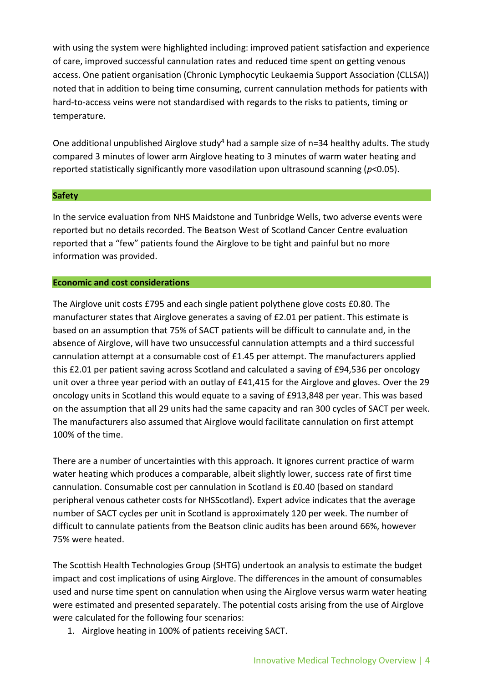with using the system were highlighted including: improved patient satisfaction and experience of care, improved successful cannulation rates and reduced time spent on getting venous access. One patient organisation (Chronic Lymphocytic Leukaemia Support Association (CLLSA)) noted that in addition to being time consuming, current cannulation methods for patients with hard-to-access veins were not standardised with regards to the risks to patients, timing or temperature.

One additional unpublished Airglove study<sup>4</sup> had a sample size of n=34 healthy adults. The study compared 3 minutes of lower arm Airglove heating to 3 minutes of warm water heating and reported statistically significantly more vasodilation upon ultrasound scanning (*p*<0.05).

## **Safety**

In the service evaluation from NHS Maidstone and Tunbridge Wells, two adverse events were reported but no details recorded. The Beatson West of Scotland Cancer Centre evaluation reported that a "few" patients found the Airglove to be tight and painful but no more information was provided.

## **Economic and cost considerations**

The Airglove unit costs £795 and each single patient polythene glove costs £0.80. The manufacturer states that Airglove generates a saving of £2.01 per patient. This estimate is based on an assumption that 75% of SACT patients will be difficult to cannulate and, in the absence of Airglove, will have two unsuccessful cannulation attempts and a third successful cannulation attempt at a consumable cost of £1.45 per attempt. The manufacturers applied this £2.01 per patient saving across Scotland and calculated a saving of £94,536 per oncology unit over a three year period with an outlay of £41,415 for the Airglove and gloves. Over the 29 oncology units in Scotland this would equate to a saving of £913,848 per year. This was based on the assumption that all 29 units had the same capacity and ran 300 cycles of SACT per week. The manufacturers also assumed that Airglove would facilitate cannulation on first attempt 100% of the time.

There are a number of uncertainties with this approach. It ignores current practice of warm water heating which produces a comparable, albeit slightly lower, success rate of first time cannulation. Consumable cost per cannulation in Scotland is £0.40 (based on standard peripheral venous catheter costs for NHSScotland). Expert advice indicates that the average number of SACT cycles per unit in Scotland is approximately 120 per week. The number of difficult to cannulate patients from the Beatson clinic audits has been around 66%, however 75% were heated.

The Scottish Health Technologies Group (SHTG) undertook an analysis to estimate the budget impact and cost implications of using Airglove. The differences in the amount of consumables used and nurse time spent on cannulation when using the Airglove versus warm water heating were estimated and presented separately. The potential costs arising from the use of Airglove were calculated for the following four scenarios:

1. Airglove heating in 100% of patients receiving SACT.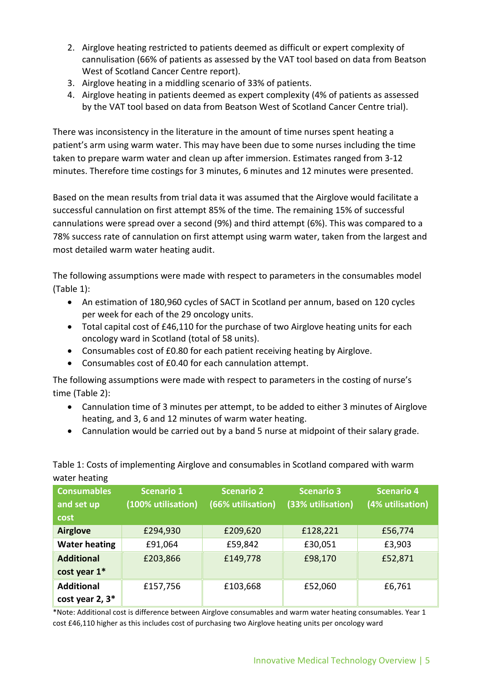- 2. Airglove heating restricted to patients deemed as difficult or expert complexity of cannulisation (66% of patients as assessed by the VAT tool based on data from Beatson West of Scotland Cancer Centre report).
- 3. Airglove heating in a middling scenario of 33% of patients.
- 4. Airglove heating in patients deemed as expert complexity (4% of patients as assessed by the VAT tool based on data from Beatson West of Scotland Cancer Centre trial).

There was inconsistency in the literature in the amount of time nurses spent heating a patient's arm using warm water. This may have been due to some nurses including the time taken to prepare warm water and clean up after immersion. Estimates ranged from 3-12 minutes. Therefore time costings for 3 minutes, 6 minutes and 12 minutes were presented.

Based on the mean results from trial data it was assumed that the Airglove would facilitate a successful cannulation on first attempt 85% of the time. The remaining 15% of successful cannulations were spread over a second (9%) and third attempt (6%). This was compared to a 78% success rate of cannulation on first attempt using warm water, taken from the largest and most detailed warm water heating audit.

The following assumptions were made with respect to parameters in the consumables model (Table 1):

- An estimation of 180,960 cycles of SACT in Scotland per annum, based on 120 cycles per week for each of the 29 oncology units.
- Total capital cost of £46,110 for the purchase of two Airglove heating units for each oncology ward in Scotland (total of 58 units).
- Consumables cost of £0.80 for each patient receiving heating by Airglove.
- Consumables cost of £0.40 for each cannulation attempt.

The following assumptions were made with respect to parameters in the costing of nurse's time (Table 2):

- Cannulation time of 3 minutes per attempt, to be added to either 3 minutes of Airglove heating, and 3, 6 and 12 minutes of warm water heating.
- Cannulation would be carried out by a band 5 nurse at midpoint of their salary grade.

Table 1: Costs of implementing Airglove and consumables in Scotland compared with warm water heating

| <b>Consumables</b><br>and set up<br>cost | <b>Scenario 1</b><br>(100% utilisation) | <b>Scenario 2</b><br>(66% utilisation) | <b>Scenario 3</b><br>(33% utilisation) | <b>Scenario 4</b><br>(4% utilisation) |
|------------------------------------------|-----------------------------------------|----------------------------------------|----------------------------------------|---------------------------------------|
| <b>Airglove</b>                          | £294,930                                | £209,620                               | £128,221                               | £56,774                               |
| <b>Water heating</b>                     | £91,064                                 | £59,842                                | £30,051                                | £3,903                                |
| <b>Additional</b><br>cost year 1*        | £203,866                                | £149,778                               | £98,170                                | £52,871                               |
| <b>Additional</b><br>cost year 2, 3*     | £157,756                                | £103,668                               | £52,060                                | £6,761                                |

\*Note: Additional cost is difference between Airglove consumables and warm water heating consumables. Year 1 cost £46,110 higher as this includes cost of purchasing two Airglove heating units per oncology ward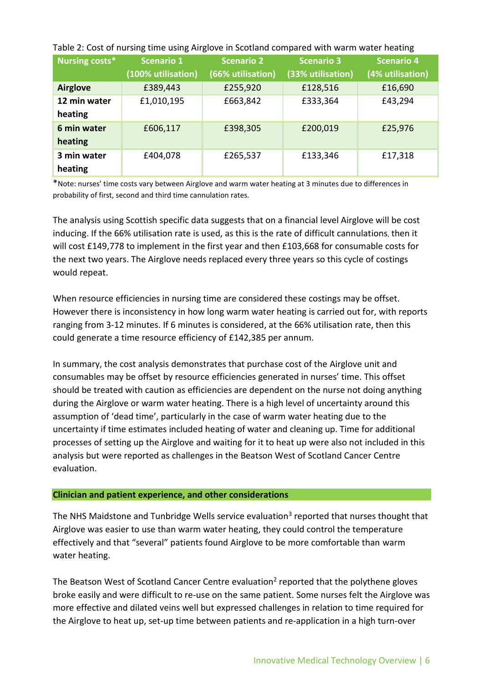| Nursing costs*          | <b>Scenario 1</b><br>(100% utilisation) | <b>Scenario 2</b><br>(66% utilisation) | <b>Scenario 3</b><br>(33% utilisation) | <b>Scenario 4</b><br>(4% utilisation) |
|-------------------------|-----------------------------------------|----------------------------------------|----------------------------------------|---------------------------------------|
| <b>Airglove</b>         | £389,443                                | £255,920                               | £128,516                               | £16,690                               |
| 12 min water<br>heating | £1,010,195                              | £663,842                               | £333,364                               | £43,294                               |
| 6 min water<br>heating  | £606,117                                | £398,305                               | £200,019                               | £25,976                               |
| 3 min water<br>heating  | £404,078                                | £265,537                               | £133,346                               | £17,318                               |

Table 2: Cost of nursing time using Airglove in Scotland compared with warm water heating

\*Note: nurses' time costs vary between Airglove and warm water heating at 3 minutes due to differences in probability of first, second and third time cannulation rates.

The analysis using Scottish specific data suggests that on a financial level Airglove will be cost inducing. If the 66% utilisation rate is used, as this is the rate of difficult cannulations, then it will cost £149,778 to implement in the first year and then £103,668 for consumable costs for the next two years. The Airglove needs replaced every three years so this cycle of costings would repeat.

When resource efficiencies in nursing time are considered these costings may be offset. However there is inconsistency in how long warm water heating is carried out for, with reports ranging from 3-12 minutes. If 6 minutes is considered, at the 66% utilisation rate, then this could generate a time resource efficiency of £142,385 per annum.

In summary, the cost analysis demonstrates that purchase cost of the Airglove unit and consumables may be offset by resource efficiencies generated in nurses' time. This offset should be treated with caution as efficiencies are dependent on the nurse not doing anything during the Airglove or warm water heating. There is a high level of uncertainty around this assumption of 'dead time', particularly in the case of warm water heating due to the uncertainty if time estimates included heating of water and cleaning up. Time for additional processes of setting up the Airglove and waiting for it to heat up were also not included in this analysis but were reported as challenges in the Beatson West of Scotland Cancer Centre evaluation.

## **Clinician and patient experience, and other considerations**

The NHS Maidstone and Tunbridge Wells service evaluation<sup>3</sup> reported that nurses thought that Airglove was easier to use than warm water heating, they could control the temperature effectively and that "several" patients found Airglove to be more comfortable than warm water heating.

The Beatson West of Scotland Cancer Centre evaluation<sup>2</sup> reported that the polythene gloves broke easily and were difficult to re-use on the same patient. Some nurses felt the Airglove was more effective and dilated veins well but expressed challenges in relation to time required for the Airglove to heat up, set-up time between patients and re-application in a high turn-over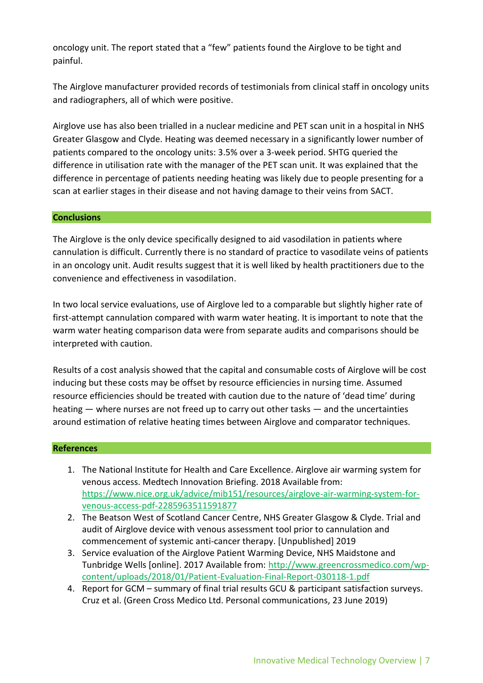oncology unit. The report stated that a "few" patients found the Airglove to be tight and painful.

The Airglove manufacturer provided records of testimonials from clinical staff in oncology units and radiographers, all of which were positive.

Airglove use has also been trialled in a nuclear medicine and PET scan unit in a hospital in NHS Greater Glasgow and Clyde. Heating was deemed necessary in a significantly lower number of patients compared to the oncology units: 3.5% over a 3-week period. SHTG queried the difference in utilisation rate with the manager of the PET scan unit. It was explained that the difference in percentage of patients needing heating was likely due to people presenting for a scan at earlier stages in their disease and not having damage to their veins from SACT.

## **Conclusions**

The Airglove is the only device specifically designed to aid vasodilation in patients where cannulation is difficult. Currently there is no standard of practice to vasodilate veins of patients in an oncology unit. Audit results suggest that it is well liked by health practitioners due to the convenience and effectiveness in vasodilation.

In two local service evaluations, use of Airglove led to a comparable but slightly higher rate of first-attempt cannulation compared with warm water heating. It is important to note that the warm water heating comparison data were from separate audits and comparisons should be interpreted with caution.

Results of a cost analysis showed that the capital and consumable costs of Airglove will be cost inducing but these costs may be offset by resource efficiencies in nursing time. Assumed resource efficiencies should be treated with caution due to the nature of 'dead time' during heating — where nurses are not freed up to carry out other tasks — and the uncertainties around estimation of relative heating times between Airglove and comparator techniques.

#### **References**

- 1. The National Institute for Health and Care Excellence. Airglove air warming system for venous access. Medtech Innovation Briefing. 2018 Available from: [https://www.nice.org.uk/advice/mib151/resources/airglove-air-warming-system-for](https://www.nice.org.uk/advice/mib151/resources/airglove-air-warming-system-for-venous-access-pdf-2285963511591877)[venous-access-pdf-2285963511591877](https://www.nice.org.uk/advice/mib151/resources/airglove-air-warming-system-for-venous-access-pdf-2285963511591877)
- 2. The Beatson West of Scotland Cancer Centre, NHS Greater Glasgow & Clyde. Trial and audit of Airglove device with venous assessment tool prior to cannulation and commencement of systemic anti-cancer therapy. [Unpublished] 2019
- 3. Service evaluation of the Airglove Patient Warming Device, NHS Maidstone and Tunbridge Wells [online]. 2017 Available from: [http://www.greencrossmedico.com/wp](http://www.greencrossmedico.com/wp-content/uploads/2018/01/Patient-Evaluation-Final-Report-030118-1.pdf)[content/uploads/2018/01/Patient-Evaluation-Final-Report-030118-1.pdf](http://www.greencrossmedico.com/wp-content/uploads/2018/01/Patient-Evaluation-Final-Report-030118-1.pdf)
- 4. Report for GCM summary of final trial results GCU & participant satisfaction surveys. Cruz et al. (Green Cross Medico Ltd. Personal communications, 23 June 2019)